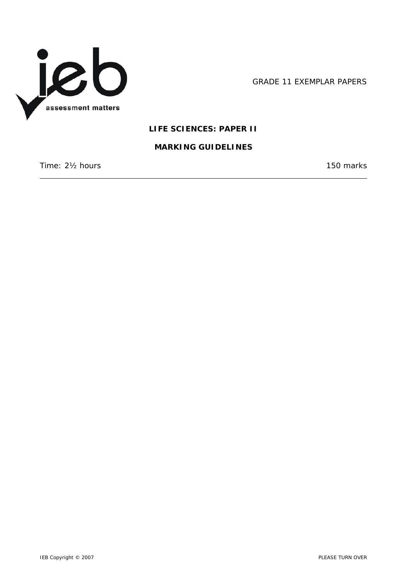

GRADE 11 EXEMPLAR PAPERS

# **LIFE SCIENCES: PAPER II**

### **MARKING GUIDELINES**

Time: 2<sup>1</sup>/<sub>2</sub> hours 150 marks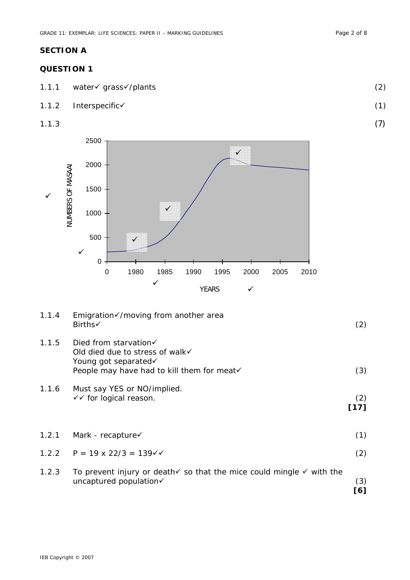# **SECTION A**

## **QUESTION 1**

- 1.1.1 water√ grass√/plants (2)
- 1.1.2 Interspecific√ (1)
- $1.1.3$  (7)



| 1.1.4 | Emigration√/moving from another area<br>Births√                                                                                            | (2)         |
|-------|--------------------------------------------------------------------------------------------------------------------------------------------|-------------|
| 1.1.5 | Died from starvation $\checkmark$<br>Old died due to stress of walk√<br>Young got separated√<br>People may have had to kill them for meat√ | (3)         |
| 1.1.6 | Must say YES or NO/implied.<br>$\checkmark$ for logical reason.                                                                            | (2)<br>[17] |
| 1.2.1 | Mark - recapture $\checkmark$                                                                                                              | (1)         |
| 1.2.2 | $P = 19 \times 22/3 = 139 \sqrt{6}$                                                                                                        | (2)         |
| 1.2.3 | To prevent injury or death $\checkmark$ so that the mice could mingle $\checkmark$ with the<br>uncaptured population√                      | (3)<br>[6]  |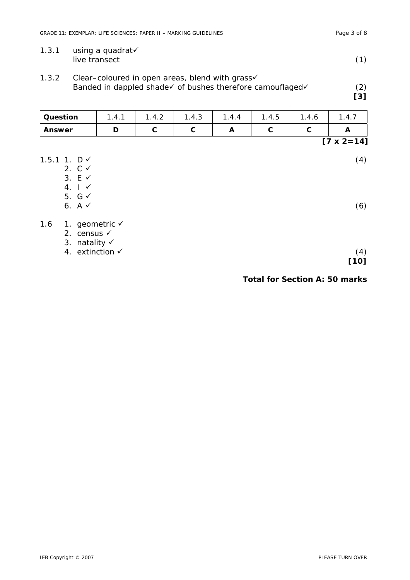| 1.3.1<br>using a quadrat√<br>live transect                                                                            |                                                                |       |       |       |       | (1)        |       |                     |
|-----------------------------------------------------------------------------------------------------------------------|----------------------------------------------------------------|-------|-------|-------|-------|------------|-------|---------------------|
| 1.3.2<br>Clear–coloured in open areas, blend with grass√<br>Banded in dappled shade√ of bushes therefore camouflaged√ |                                                                |       |       |       |       | (2)<br>[3] |       |                     |
| Question                                                                                                              |                                                                | 1.4.1 | 1.4.2 | 1.4.3 | 1.4.4 | 1.4.5      | 1.4.6 | 1.4.7               |
| <b>Answer</b>                                                                                                         |                                                                | D     | C     | C     | A     | C          | C     | A                   |
|                                                                                                                       |                                                                |       |       |       |       |            |       | $[7 \times 2 = 14]$ |
| 1.5.1 1. $D \checkmark$                                                                                               | 2. $C \checkmark$<br>3. $E \checkmark$<br>$4. \mid \checkmark$ |       |       |       |       |            |       | (4)                 |
|                                                                                                                       | 5. $G \checkmark$<br>6. A $\checkmark$                         |       |       |       |       |            |       | (6)                 |

1.6 1. geometric  $\checkmark$ 

2. census  $\checkmark$ 

3. natality  $\checkmark$ 4. extinction  $\checkmark$  (4)

**[10]** 

**Total for Section A: 50 marks**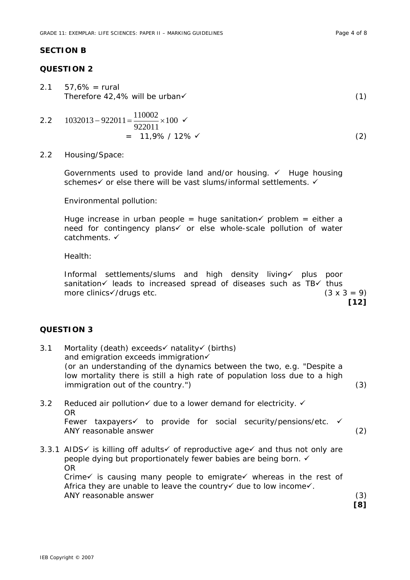#### **SECTION B**

## **QUESTION 2**

 $2.1 \quad 57.6\% = \text{rural}$ Therefore 42,4% will be urban $(1)$ 

2.2 
$$
1032013 - 922011 = \frac{110002}{922011} \times 100 \checkmark
$$
  
= 11,9% / 12%  $\checkmark$  (2)

2.2 Housing/Space:

Governments used to provide land and/or housing.  $\checkmark$  Huge housing schemes $\checkmark$  or else there will be vast slums/informal settlements.  $\checkmark$ 

Environmental pollution:

Huge increase in urban people = huge sanitation $\checkmark$  problem = either a need for contingency plans or else whole-scale pollution of water catchments.  $\checkmark$ 

Health:

Informal settlements/slums and high density living√ plus poor sanitation leads to increased spread of diseases such as  $TB\checkmark$  thus more clinics $\sqrt{dx}$  drugs etc. (3 x 3 = 9) **[12]** 

#### **QUESTION 3**

- 3.1 Mortality (death) exceeds $\checkmark$  natality $\checkmark$  (births) and emigration exceeds immigration (or an understanding of the dynamics between the two, e.g. "Despite a low mortality there is still a high rate of population loss due to a high immigration out of the country.") (3)
- 3.2 Reduced air pollution  $\checkmark$  due to a lower demand for electricity.  $\checkmark$ OR Fewer taxpayers $\checkmark$  to provide for social security/pensions/etc.  $\checkmark$ ANY reasonable answer (2)
- 3.3.1 AIDS $\checkmark$  is killing off adults $\checkmark$  of reproductive age $\checkmark$  and thus not only are people dying but proportionately fewer babies are being born.  $\checkmark$ OR Crime $\checkmark$  is causing many people to emigrate $\checkmark$  whereas in the rest of Africa they are unable to leave the country due to low income  $\checkmark$ . ANY reasonable answer (3)

 **[8]**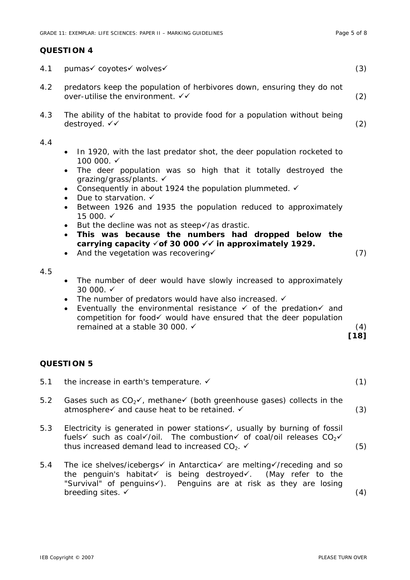# **QUESTION 4**

| 4.1        | pumas√ coyotes√ wolves√                                                                                                                                                                                                                                                                                                                                                                                                                                                                                                                                                                                                                                                                                                                                                                                                                                                                                                                                                                          | (3)                  |  |
|------------|--------------------------------------------------------------------------------------------------------------------------------------------------------------------------------------------------------------------------------------------------------------------------------------------------------------------------------------------------------------------------------------------------------------------------------------------------------------------------------------------------------------------------------------------------------------------------------------------------------------------------------------------------------------------------------------------------------------------------------------------------------------------------------------------------------------------------------------------------------------------------------------------------------------------------------------------------------------------------------------------------|----------------------|--|
| 4.2        | predators keep the population of herbivores down, ensuring they do not<br>over-utilise the environment. √√                                                                                                                                                                                                                                                                                                                                                                                                                                                                                                                                                                                                                                                                                                                                                                                                                                                                                       | (2)                  |  |
| 4.3        | The ability of the habitat to provide food for a population without being<br>destroyed. √√                                                                                                                                                                                                                                                                                                                                                                                                                                                                                                                                                                                                                                                                                                                                                                                                                                                                                                       | (2)                  |  |
| 4.4<br>4.5 | In 1920, with the last predator shot, the deer population rocketed to<br>٠<br>100 000. ✓<br>The deer population was so high that it totally destroyed the<br>$\bullet$<br>grazing/grass/plants. ✓<br>Consequently in about 1924 the population plummeted. √<br>٠<br>Due to starvation. ✓<br>$\bullet$<br>Between 1926 and 1935 the population reduced to approximately<br>$\bullet$<br>15 000. ✓<br>But the decline was not as steep√/as drastic.<br>٠<br>This was because the numbers had dropped below the<br>$\bullet$<br>carrying capacity √ of 30 000 √ √ in approximately 1929.<br>And the vegetation was recovering√<br>$\bullet$<br>The number of deer would have slowly increased to approximately<br>٠<br>30 000. ✓<br>The number of predators would have also increased. √<br>٠<br>Eventually the environmental resistance $\checkmark$ of the predation $\checkmark$ and<br>٠<br>competition for food√ would have ensured that the deer population<br>remained at a stable 30 000. √ | (7)<br>(4)<br>$[18]$ |  |
|            | <b>QUESTION 5</b>                                                                                                                                                                                                                                                                                                                                                                                                                                                                                                                                                                                                                                                                                                                                                                                                                                                                                                                                                                                |                      |  |
| 5.1        | the increase in earth's temperature. $\checkmark$                                                                                                                                                                                                                                                                                                                                                                                                                                                                                                                                                                                                                                                                                                                                                                                                                                                                                                                                                | (1)                  |  |
| 5.2        | Gases such as $CO_2\checkmark$ , methane $\checkmark$ (both greenhouse gases) collects in the<br>atmosphere√ and cause heat to be retained. √                                                                                                                                                                                                                                                                                                                                                                                                                                                                                                                                                                                                                                                                                                                                                                                                                                                    | (3)                  |  |
| 5.3        | Electricity is generated in power stations $\checkmark$ , usually by burning of fossil<br>fuels $\checkmark$ such as coal $\checkmark$ /oil. The combustion $\checkmark$ of coal /oil releases $CO_2 \checkmark$<br>thus increased demand lead to increased $CO2$ .                                                                                                                                                                                                                                                                                                                                                                                                                                                                                                                                                                                                                                                                                                                              |                      |  |
| 5.4        | The ice shelves/icebergs in Antarctica are melting and so resolution of the inter-<br>the penguin's habitat√ is being destroyed√. (May refer to the<br>"Survival" of penguinsv). Penguins are at risk as they are losing<br>breeding sites. ✓                                                                                                                                                                                                                                                                                                                                                                                                                                                                                                                                                                                                                                                                                                                                                    | (4)                  |  |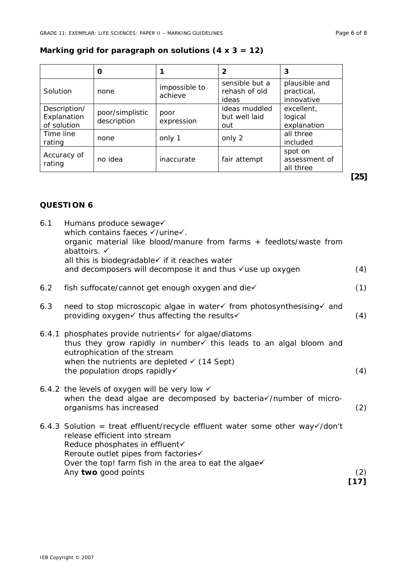# **Marking grid for paragraph on solutions (4 x 3 = 12)**

|                                            | 0                              |                          | 2                                        | 3                                         |
|--------------------------------------------|--------------------------------|--------------------------|------------------------------------------|-------------------------------------------|
| Solution                                   | none                           | impossible to<br>achieve | sensible but a<br>rehash of old<br>ideas | plausible and<br>practical,<br>innovative |
| Description/<br>Explanation<br>of solution | poor/simplistic<br>description | poor<br>expression       | ideas muddled<br>but well laid<br>out    | excellent,<br>logical<br>explanation      |
| Time line<br>rating                        | none                           | only 1                   | only 2                                   | all three<br>included                     |
| Accuracy of<br>rating                      | no idea                        | inaccurate               | fair attempt                             | spot on<br>assessment of<br>all three     |

# **QUESTION 6**

| 6.1 | Humans produce sewage√<br>which contains faeces √/urine√.<br>organic material like blood/manure from farms + feedlots/waste from<br>abattoirs. ✓                                                                                                                                   |             |
|-----|------------------------------------------------------------------------------------------------------------------------------------------------------------------------------------------------------------------------------------------------------------------------------------|-------------|
|     | all this is biodegradable√ if it reaches water<br>and decomposers will decompose it and thus √use up oxygen                                                                                                                                                                        | (4)         |
| 6.2 | fish suffocate/cannot get enough oxygen and die√                                                                                                                                                                                                                                   | (1)         |
| 6.3 | need to stop microscopic algae in water of from photosynthesising of and<br>providing oxygen√ thus affecting the results√                                                                                                                                                          | (4)         |
|     | 6.4.1 phosphates provide nutrients of for algae/diatoms<br>thus they grow rapidly in number ithis leads to an algal bloom and<br>eutrophication of the stream<br>when the nutrients are depleted $\checkmark$ (14 Sept)<br>the population drops rapidly√                           | (4)         |
|     | 6.4.2 the levels of oxygen will be very low $\checkmark$<br>when the dead algae are decomposed by bacteria /number of micro-<br>organisms has increased                                                                                                                            | (2)         |
|     | 6.4.3 Solution = treat effluent/recycle effluent water some other way $\sqrt{2}$ /don't<br>release efficient into stream<br>Reduce phosphates in effluent√<br>Reroute outlet pipes from factories√<br>Over the top! farm fish in the area to eat the algae√<br>Any two good points | (2)<br>[17] |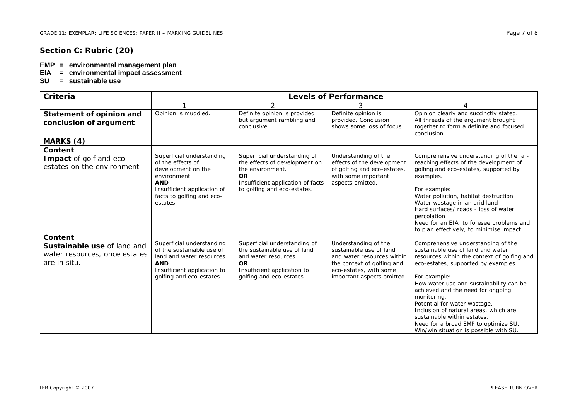### **Section C: Rubric (20)**

#### **EMP = environmental management plan**

- **EIA = environmental impact assessment**
- **SU = sustainable use**

| Criteria                                                                                       | <b>Levels of Performance</b>                                                                                                                                               |                                                                                                                                                                    |                                                                                                                                                                     |                                                                                                                                                                                                                                                                                                                                                                                                                                                                        |  |  |
|------------------------------------------------------------------------------------------------|----------------------------------------------------------------------------------------------------------------------------------------------------------------------------|--------------------------------------------------------------------------------------------------------------------------------------------------------------------|---------------------------------------------------------------------------------------------------------------------------------------------------------------------|------------------------------------------------------------------------------------------------------------------------------------------------------------------------------------------------------------------------------------------------------------------------------------------------------------------------------------------------------------------------------------------------------------------------------------------------------------------------|--|--|
|                                                                                                |                                                                                                                                                                            | $\overline{2}$                                                                                                                                                     | 3                                                                                                                                                                   | 4                                                                                                                                                                                                                                                                                                                                                                                                                                                                      |  |  |
| Statement of opinion and<br>conclusion of argument                                             | Opinion is muddled.                                                                                                                                                        | Definite opinion is provided<br>but argument rambling and<br>conclusive.                                                                                           | Definite opinion is<br>provided. Conclusion<br>shows some loss of focus.                                                                                            | Opinion clearly and succinctly stated.<br>All threads of the argument brought<br>together to form a definite and focused<br>conclusion.                                                                                                                                                                                                                                                                                                                                |  |  |
| MARKS (4)                                                                                      |                                                                                                                                                                            |                                                                                                                                                                    |                                                                                                                                                                     |                                                                                                                                                                                                                                                                                                                                                                                                                                                                        |  |  |
| Content<br>Impact of golf and eco<br>estates on the environment                                | Superficial understanding<br>of the effects of<br>development on the<br>environment.<br><b>AND</b><br>Insufficient application of<br>facts to golfing and eco-<br>estates. | Superficial understanding of<br>the effects of development on<br>the environment.<br><b>OR</b><br>Insufficient application of facts<br>to golfing and eco-estates. | Understanding of the<br>effects of the development<br>of golfing and eco-estates,<br>with some important<br>aspects omitted.                                        | Comprehensive understanding of the far-<br>reaching effects of the development of<br>golfing and eco-estates, supported by<br>examples.<br>For example:<br>Water pollution, habitat destruction<br>Water wastage in an arid land<br>Hard surfaces/ roads - loss of water<br>percolation<br>Need for an EIA to foresee problems and<br>to plan effectively, to minimise impact                                                                                          |  |  |
| Content<br><b>Sustainable use of land and</b><br>water resources, once estates<br>are in situ. | Superficial understanding<br>of the sustainable use of<br>land and water resources.<br><b>AND</b><br>Insufficient application to<br>golfing and eco-estates.               | Superficial understanding of<br>the sustainable use of land<br>and water resources.<br><b>OR</b><br>Insufficient application to<br>golfing and eco-estates.        | Understanding of the<br>sustainable use of land<br>and water resources within<br>the context of golfing and<br>eco-estates, with some<br>important aspects omitted. | Comprehensive understanding of the<br>sustainable use of land and water<br>resources within the context of golfing and<br>eco-estates, supported by examples.<br>For example:<br>How water use and sustainability can be<br>achieved and the need for ongoing<br>monitoring.<br>Potential for water wastage.<br>Inclusion of natural areas, which are<br>sustainable within estates.<br>Need for a broad EMP to optimize SU.<br>Win/win situation is possible with SU. |  |  |